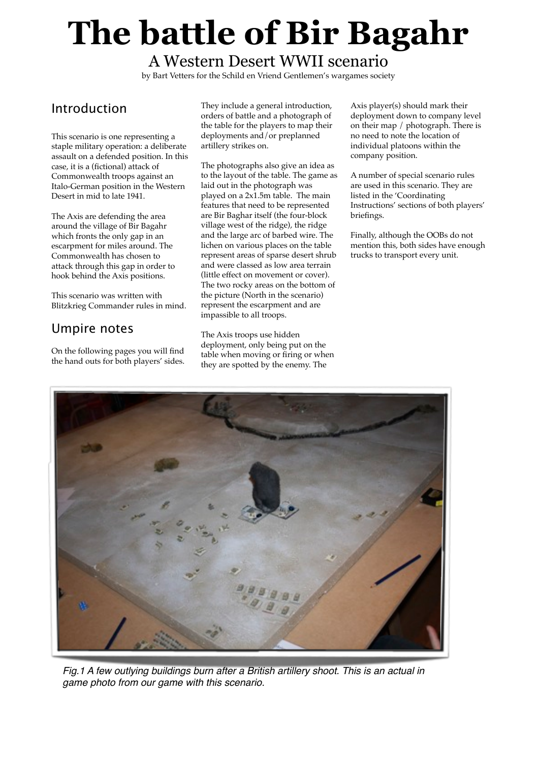# **The battle of Bir Bagahr**

## A Western Desert WWII scenario

by Bart Vetters for the Schild en Vriend Gentlemen's wargames society

## Introduction

This scenario is one representing a staple military operation: a deliberate assault on a defended position. In this case, it is a (fictional) attack of Commonwealth troops against an Italo-German position in the Western Desert in mid to late 1941.

The Axis are defending the area around the village of Bir Bagahr which fronts the only gap in an escarpment for miles around. The Commonwealth has chosen to attack through this gap in order to hook behind the Axis positions.

This scenario was written with Blitzkrieg Commander rules in mind.

### Umpire notes

On the following pages you will find the hand outs for both players' sides. They include a general introduction, orders of battle and a photograph of the table for the players to map their deployments and/or preplanned artillery strikes on.

The photographs also give an idea as to the layout of the table. The game as laid out in the photograph was played on a 2x1.5m table. The main features that need to be represented are Bir Baghar itself (the four-block village west of the ridge), the ridge and the large arc of barbed wire. The lichen on various places on the table represent areas of sparse desert shrub and were classed as low area terrain (little effect on movement or cover). The two rocky areas on the bottom of the picture (North in the scenario) represent the escarpment and are impassible to all troops.

The Axis troops use hidden deployment, only being put on the table when moving or firing or when they are spotted by the enemy. The

Axis player(s) should mark their deployment down to company level on their map / photograph. There is no need to note the location of individual platoons within the company position.

A number of special scenario rules are used in this scenario. They are listed in the 'Coordinating Instructions' sections of both players' briefings.

Finally, although the OOBs do not mention this, both sides have enough trucks to transport every unit.



*Fig.1 A few outlying buildings burn after a British artillery shoot. This is an actual in game photo from our game with this scenario.*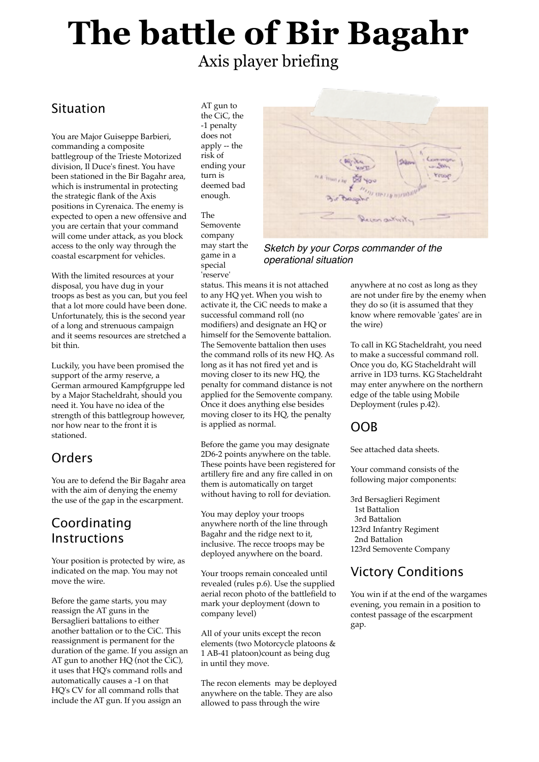## **The battle of Bir Bagahr**

Axis player briefing

#### Situation

You are Major Guiseppe Barbieri, commanding a composite battlegroup of the Trieste Motorized division, Il Duce's finest. You have been stationed in the Bir Bagahr area, which is instrumental in protecting the strategic flank of the Axis positions in Cyrenaica. The enemy is expected to open a new offensive and you are certain that your command will come under attack, as you block access to the only way through the coastal escarpment for vehicles.

With the limited resources at your disposal, you have dug in your troops as best as you can, but you feel that a lot more could have been done. Unfortunately, this is the second year of a long and strenuous campaign and it seems resources are stretched a bit thin.

Luckily, you have been promised the support of the army reserve, a German armoured Kampfgruppe led by a Major Stacheldraht, should you need it. You have no idea of the strength of this battlegroup however, nor how near to the front it is stationed.

### Orders

You are to defend the Bir Bagahr area with the aim of denying the enemy the use of the gap in the escarpment.

### Coordinating Instructions

Your position is protected by wire, as indicated on the map. You may not move the wire.

Before the game starts, you may reassign the AT guns in the Bersaglieri battalions to either another battalion or to the CiC. This reassignment is permanent for the duration of the game. If you assign an AT gun to another HQ (not the CiC), it uses that HQ's command rolls and automatically causes a -1 on that HQ's CV for all command rolls that include the AT gun. If you assign an

AT gun to the CiC, the -1 penalty does not apply -- the risk of ending your turn is deemed bad enough.

The Semovente company may start the game in a special 'reserve'



*Sketch by your Corps commander of the operational situation*

status. This means it is not attached to any HQ yet. When you wish to activate it, the CiC needs to make a successful command roll (no modifiers) and designate an HQ or himself for the Semovente battalion. The Semovente battalion then uses the command rolls of its new HQ. As long as it has not fired yet and is moving closer to its new HQ, the penalty for command distance is not applied for the Semovente company. Once it does anything else besides moving closer to its HQ, the penalty is applied as normal.

Before the game you may designate 2D6-2 points anywhere on the table. These points have been registered for artillery fire and any fire called in on them is automatically on target without having to roll for deviation.

You may deploy your troops anywhere north of the line through Bagahr and the ridge next to it, inclusive. The recce troops may be deployed anywhere on the board.

Your troops remain concealed until revealed (rules p.6). Use the supplied aerial recon photo of the battlefield to mark your deployment (down to company level)

All of your units except the recon elements (two Motorcycle platoons & 1 AB-41 platoon)count as being dug in until they move.

The recon elements may be deployed anywhere on the table. They are also allowed to pass through the wire

anywhere at no cost as long as they are not under fire by the enemy when they do so (it is assumed that they know where removable 'gates' are in the wire)

To call in KG Stacheldraht, you need to make a successful command roll. Once you do, KG Stacheldraht will arrive in 1D3 turns. KG Stacheldraht may enter anywhere on the northern edge of the table using Mobile Deployment (rules p.42).

### OOB

See attached data sheets.

Your command consists of the following major components:

3rd Bersaglieri Regiment 1st Battalion 3rd Battalion 123rd Infantry Regiment 2nd Battalion 123rd Semovente Company

### Victory Conditions

You win if at the end of the wargames evening, you remain in a position to contest passage of the escarpment gap.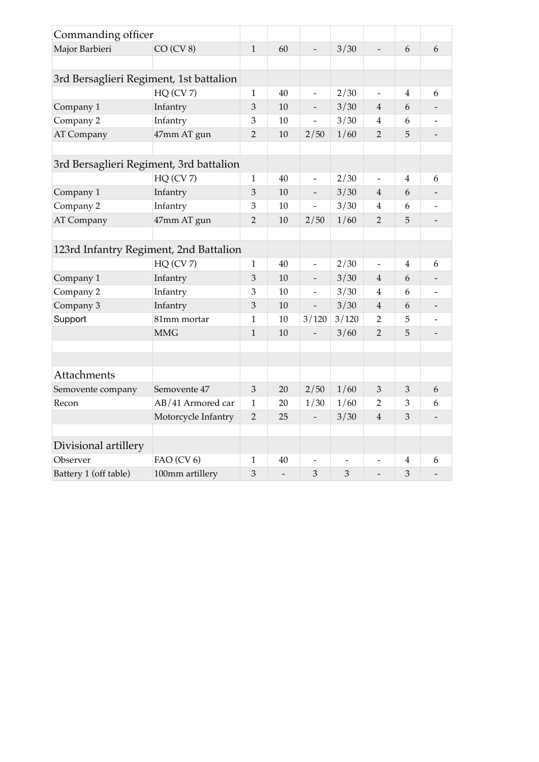| Commanding officer                      |                     |                |                |                          |                |                          |                |                          |
|-----------------------------------------|---------------------|----------------|----------------|--------------------------|----------------|--------------------------|----------------|--------------------------|
| Major Barbieri                          | $CO$ (CV $8$ )      | $\mathbf{1}$   | 60             | $\overline{\phantom{0}}$ | 3/30           | $\overline{\phantom{a}}$ | 6              | 6                        |
|                                         |                     |                |                |                          |                |                          |                |                          |
| 3rd Bersaglieri Regiment, 1st battalion |                     |                |                |                          |                |                          |                |                          |
|                                         | HQ (CV 7)           | $\mathbf{1}$   | 40             | $\frac{1}{2}$            | 2/30           | $\overline{a}$           | 4              | 6                        |
| Company 1                               | Infantry            | 3              | 10             | $\overline{\phantom{0}}$ | 3/30           | 4                        | 6              |                          |
| Company 2                               | Infantry            | 3              | 10             | $\overline{a}$           | 3/30           | 4                        | 6              |                          |
| AT Company                              | 47mm AT gun         | $\overline{2}$ | 10             | 2/50                     | 1/60           | $\overline{2}$           | 5              | $\overline{\phantom{0}}$ |
|                                         |                     |                |                |                          |                |                          |                |                          |
| 3rd Bersaglieri Regiment, 3rd battalion |                     |                |                |                          |                |                          |                |                          |
|                                         | HQ (CV 7)           | $\mathbf{1}$   | 40             | $\overline{a}$           | 2/30           | $\frac{1}{2}$            | 4              | 6                        |
| Company 1                               | Infantry            | 3              | 10             | $\overline{\phantom{0}}$ | 3/30           | 4                        | 6              |                          |
| Company 2                               | Infantry            | 3              | 10             | $\overline{a}$           | 3/30           | $\overline{4}$           | 6              |                          |
| AT Company                              | 47mm AT gun         | $\overline{2}$ | 10             | 2/50                     | 1/60           | $\overline{2}$           | 5              |                          |
|                                         |                     |                |                |                          |                |                          |                |                          |
| 123rd Infantry Regiment, 2nd Battalion  |                     |                |                |                          |                |                          |                |                          |
|                                         | HQ (CV 7)           | $\mathbf{1}$   | 40             | $\overline{a}$           | 2/30           | $\overline{a}$           | 4              | 6                        |
| Company 1                               | Infantry            | 3              | 10             | $\overline{\phantom{m}}$ | 3/30           | $\overline{4}$           | 6              |                          |
| Company 2                               | Infantry            | 3              | 10             | $\overline{a}$           | 3/30           | $\overline{\mathbf{4}}$  | 6              |                          |
| Company 3                               | Infantry            | 3              | 10             | $\overline{a}$           | 3/30           | $\overline{4}$           | 6              |                          |
| Support                                 | 81mm mortar         | $\mathbf{1}$   | 10             | 3/120                    | 3/120          | $\overline{2}$           | 5              |                          |
|                                         | <b>MMG</b>          | $\mathbf{1}$   | 10             | $\overline{\phantom{0}}$ | 3/60           | $\overline{2}$           | 5              |                          |
|                                         |                     |                |                |                          |                |                          |                |                          |
|                                         |                     |                |                |                          |                |                          |                |                          |
| Attachments                             |                     |                |                |                          |                |                          |                |                          |
| Semovente company                       | Semovente 47        | 3              | 20             | 2/50                     | 1/60           | 3                        | $\mathfrak{Z}$ | 6                        |
| Recon                                   | AB/41 Armored car   | $\mathbf{1}$   | 20             | 1/30                     | 1/60           | $\overline{2}$           | 3              | 6                        |
|                                         | Motorcycle Infantry | $\overline{2}$ | 25             | $\overline{\phantom{0}}$ | 3/30           | 4                        | $\mathfrak{Z}$ | $\overline{\phantom{0}}$ |
|                                         |                     |                |                |                          |                |                          |                |                          |
| Divisional artillery                    |                     |                |                |                          |                |                          |                |                          |
| Observer                                | FAO (CV 6)          | 1              | 40             | $\overline{a}$           | $\overline{a}$ | $\overline{a}$           | 4              | 6                        |
| Battery 1 (off table)                   | 100mm artillery     | 3              | $\overline{a}$ | 3                        | 3              |                          | 3              |                          |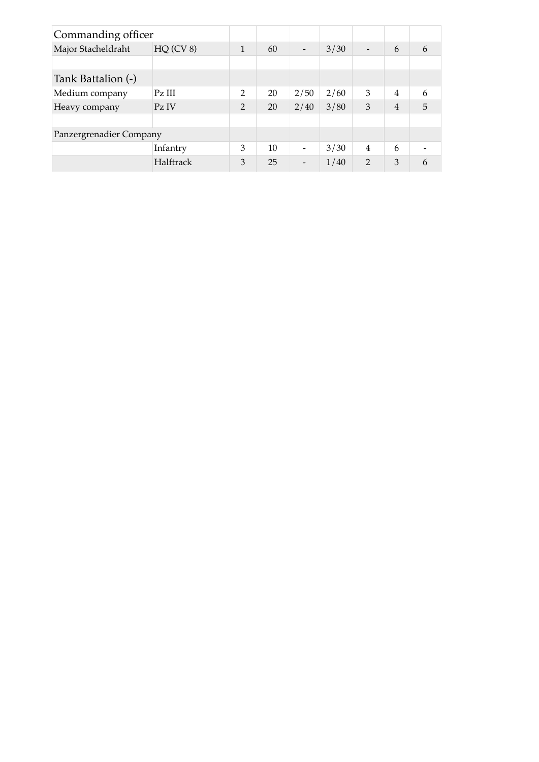| Commanding officer      |           |                |    |                          |      |                          |                |   |
|-------------------------|-----------|----------------|----|--------------------------|------|--------------------------|----------------|---|
| Major Stacheldraht      | HQ (CV 8) | $\mathbf{1}$   | 60 | $\overline{\phantom{a}}$ | 3/30 | $\overline{\phantom{a}}$ | 6              | 6 |
|                         |           |                |    |                          |      |                          |                |   |
| Tank Battalion (-)      |           |                |    |                          |      |                          |                |   |
| Medium company          | $PZ$ III  | 2              | 20 | 2/50                     | 2/60 | 3                        | $\overline{4}$ | 6 |
| Heavy company           | PZIV      | $\overline{2}$ | 20 | 2/40                     | 3/80 | 3                        | 4              | 5 |
|                         |           |                |    |                          |      |                          |                |   |
| Panzergrenadier Company |           |                |    |                          |      |                          |                |   |
|                         | Infantry  | 3              | 10 | $\overline{\phantom{a}}$ | 3/30 | $\overline{4}$           | 6              |   |
|                         | Halftrack | 3              | 25 | $\qquad \qquad -$        | 1/40 | $\overline{2}$           | 3              | 6 |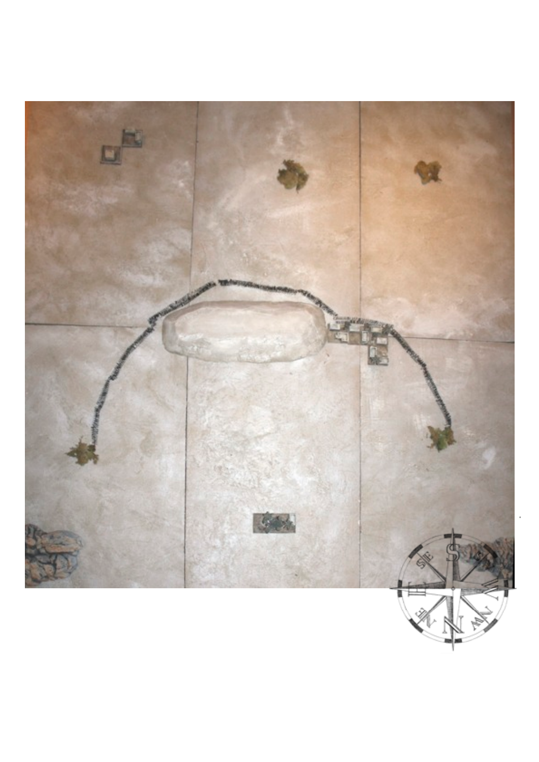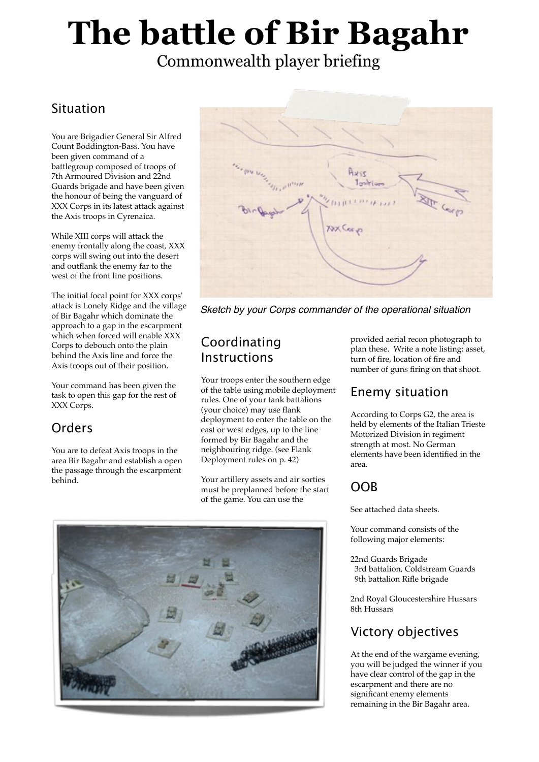# **The battle of Bir Bagahr**

Commonwealth player briefing

#### Situation

You are Brigadier General Sir Alfred Count Boddington-Bass. You have been given command of a battlegroup composed of troops of 7th Armoured Division and 22nd Guards brigade and have been given the honour of being the vanguard of XXX Corps in its latest attack against the Axis troops in Cyrenaica.

While XIII corps will attack the enemy frontally along the coast, XXX corps will swing out into the desert and outflank the enemy far to the west of the front line positions.

The initial focal point for XXX corps' attack is Lonely Ridge and the village of Bir Bagahr which dominate the approach to a gap in the escarpment which when forced will enable XXX Corps to debouch onto the plain behind the Axis line and force the Axis troops out of their position.

Your command has been given the task to open this gap for the rest of XXX Corps.

## Orders

You are to defeat Axis troops in the area Bir Bagahr and establish a open the passage through the escarpment behind.



*Sketch by your Corps commander of the operational situation*

### Coordinating **Instructions**

Your troops enter the southern edge of the table using mobile deployment rules. One of your tank battalions (your choice) may use flank deployment to enter the table on the east or west edges, up to the line formed by Bir Bagahr and the neighbouring ridge. (see Flank Deployment rules on p. 42)

Your artillery assets and air sorties must be preplanned before the start of the game. You can use the



provided aerial recon photograph to plan these. Write a note listing: asset, turn of fire, location of fire and number of guns firing on that shoot.

### Enemy situation

According to Corps G2, the area is held by elements of the Italian Trieste Motorized Division in regiment strength at most. No German elements have been identified in the area.

### OOB

See attached data sheets.

Your command consists of the following major elements:

22nd Guards Brigade 3rd battalion, Coldstream Guards 9th battalion Rifle brigade

2nd Royal Gloucestershire Hussars 8th Hussars

## Victory objectives

At the end of the wargame evening, you will be judged the winner if you have clear control of the gap in the escarpment and there are no significant enemy elements remaining in the Bir Bagahr area.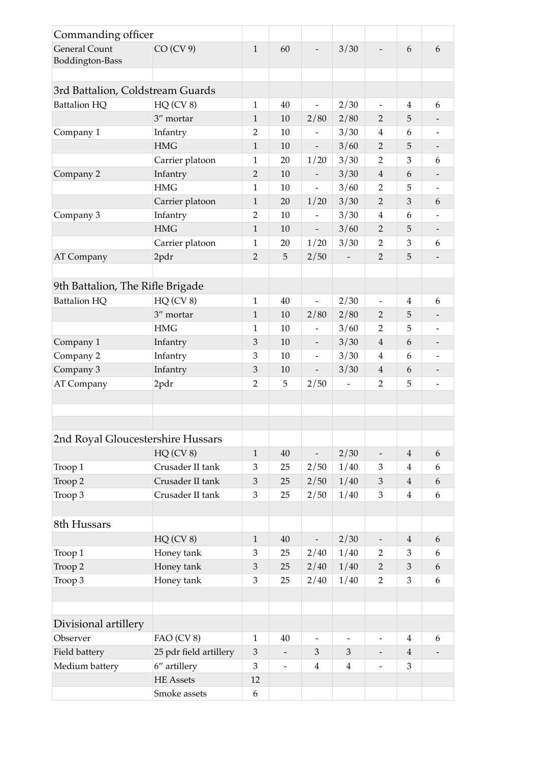| Commanding officer                      |                        |                             |                          |                          |                          |                          |                |   |
|-----------------------------------------|------------------------|-----------------------------|--------------------------|--------------------------|--------------------------|--------------------------|----------------|---|
| <b>General Count</b><br>Boddington-Bass | CO (CV 9)              | $\mathbf{1}$                | 60                       | $\overline{\phantom{a}}$ | 3/30                     | $\frac{1}{2}$            | 6              | 6 |
|                                         |                        |                             |                          |                          |                          |                          |                |   |
| 3rd Battalion, Coldstream Guards        |                        |                             |                          |                          |                          |                          |                |   |
| <b>Battalion HQ</b>                     | $HQ$ (CV $8)$          | $\mathbf{1}$                | 40                       | $\frac{1}{2}$            | 2/30                     | $\overline{\phantom{0}}$ | 4              | 6 |
|                                         | 3" mortar              | $\mathbf{1}$                | 10                       | 2/80                     | 2/80                     | $\overline{2}$           | $\overline{5}$ |   |
| Company 1                               | Infantry               | $\overline{2}$              | 10                       |                          | 3/30                     | $\overline{4}$           | 6              |   |
|                                         | <b>HMG</b>             | $\mathbf{1}$                | 10                       | $\overline{\phantom{a}}$ | 3/60                     | 2                        | 5              |   |
|                                         | Carrier platoon        | $\mathbf{1}$                | 20                       | 1/20                     | 3/30                     | $\overline{2}$           | 3              | 6 |
| Company 2                               | Infantry               | $\overline{2}$              | 10                       | $\overline{\phantom{a}}$ | 3/30                     | $\overline{4}$           | 6              |   |
|                                         | <b>HMG</b>             | $\mathbf{1}$                | 10                       | $\frac{1}{2}$            | 3/60                     | $\overline{2}$           | 5              |   |
|                                         | Carrier platoon        | $\mathbf{1}$                | 20                       | 1/20                     | 3/30                     | $\overline{2}$           | 3              | 6 |
| Company 3                               | Infantry               | $\overline{2}$              | 10                       |                          | 3/30                     | 4                        | 6              |   |
|                                         | <b>HMG</b>             | $\mathbf{1}$                | 10                       | $\overline{\phantom{m}}$ | 3/60                     | $\overline{2}$           | $\overline{5}$ |   |
|                                         | Carrier platoon        | $\mathbf{1}$                | 20                       | 1/20                     | 3/30                     | $\overline{2}$           | 3              | 6 |
| AT Company                              | 2pdr                   | $\overline{2}$              | 5                        | 2/50                     | $\overline{\phantom{m}}$ | $\overline{2}$           | 5              |   |
|                                         |                        |                             |                          |                          |                          |                          |                |   |
| 9th Battalion, The Rifle Brigade        |                        |                             |                          |                          |                          |                          |                |   |
| <b>Battalion HQ</b>                     | HQ (CV 8)              | $\mathbf{1}$                | 40                       | $\overline{a}$           | 2/30                     | $\overline{\phantom{0}}$ | $\overline{4}$ | 6 |
|                                         | 3" mortar              | $\mathbf{1}$                | 10                       | 2/80                     | 2/80                     | 2                        | 5              |   |
|                                         | <b>HMG</b>             | 1                           | 10                       | $\frac{1}{2}$            | 3/60                     | $\overline{2}$           | 5              |   |
| Company 1                               | Infantry               | 3                           | 10                       | $\overline{\phantom{a}}$ | 3/30                     | $\overline{4}$           | 6              |   |
| Company 2                               | Infantry               | 3                           | 10                       | $\overline{\phantom{0}}$ | 3/30                     | $\overline{4}$           | 6              |   |
| Company 3                               | Infantry               | 3                           | 10                       | $\overline{a}$           | 3/30                     | $\overline{4}$           | 6              |   |
| AT Company                              | 2pdr                   | $\overline{2}$              | 5                        | 2/50                     |                          | 2                        | 5              |   |
|                                         |                        |                             |                          |                          |                          |                          |                |   |
|                                         |                        |                             |                          |                          |                          |                          |                |   |
|                                         |                        |                             |                          |                          |                          |                          |                |   |
| 2nd Royal Gloucestershire Hussars       |                        |                             |                          |                          |                          |                          |                |   |
|                                         | HQ (CV 8)              | $\mathbf{1}$                | 40                       | $\overline{\phantom{a}}$ | 2/30                     | $\frac{1}{2}$            | $\overline{4}$ | 6 |
| Troop 1                                 | Crusader II tank       | 3                           | 25                       | 2/50                     | 1/40                     | $\mathfrak{Z}$           | $\overline{4}$ | 6 |
| Troop 2                                 | Crusader II tank       | $\mathfrak{Z}$              | 25                       | 2/50                     | 1/40                     | $\mathfrak{Z}$           | $\overline{4}$ | 6 |
| Troop 3                                 | Crusader II tank       | 3                           | 25                       | 2/50                     | 1/40                     | 3                        | $\overline{4}$ | 6 |
|                                         |                        |                             |                          |                          |                          |                          |                |   |
|                                         |                        |                             |                          |                          |                          |                          |                |   |
| 8th Hussars                             |                        |                             |                          |                          |                          |                          |                |   |
|                                         | HQ (CV 8)              | $\mathbf{1}$                | 40                       | $\overline{\phantom{0}}$ | 2/30                     | $\frac{1}{2}$            | $\overline{4}$ | 6 |
| Troop 1                                 | Honey tank             | 3                           | 25                       | 2/40                     | 1/40                     | $\overline{2}$           | 3              | 6 |
| Troop 2                                 | Honey tank             | $\ensuremath{\mathfrak{Z}}$ | 25                       | 2/40                     | 1/40                     | $\overline{2}$           | $\mathfrak{Z}$ | 6 |
| Troop 3                                 | Honey tank             | 3                           | 25                       | 2/40                     | 1/40                     | $\overline{2}$           | $\mathfrak{Z}$ | 6 |
|                                         |                        |                             |                          |                          |                          |                          |                |   |
|                                         |                        |                             |                          |                          |                          |                          |                |   |
| Divisional artillery                    |                        |                             |                          |                          |                          |                          |                |   |
| Observer                                | FAO (CV 8)             | $\mathbf{1}$                | 40                       | $\overline{\phantom{a}}$ | $\overline{\phantom{a}}$ | $\overline{\phantom{0}}$ | $\overline{4}$ | 6 |
| Field battery                           | 25 pdr field artillery | $\mathfrak{Z}$              | $\overline{\phantom{a}}$ | $\mathfrak{Z}$           | $\mathfrak{Z}$           | $\overline{\phantom{m}}$ | $\overline{4}$ |   |
| Medium battery                          | 6" artillery           | 3                           | $\frac{1}{2}$            | $\overline{4}$           | $\overline{4}$           | $\overline{a}$           | 3              |   |
|                                         | <b>HE</b> Assets       | 12                          |                          |                          |                          |                          |                |   |
|                                         | Smoke assets           | 6                           |                          |                          |                          |                          |                |   |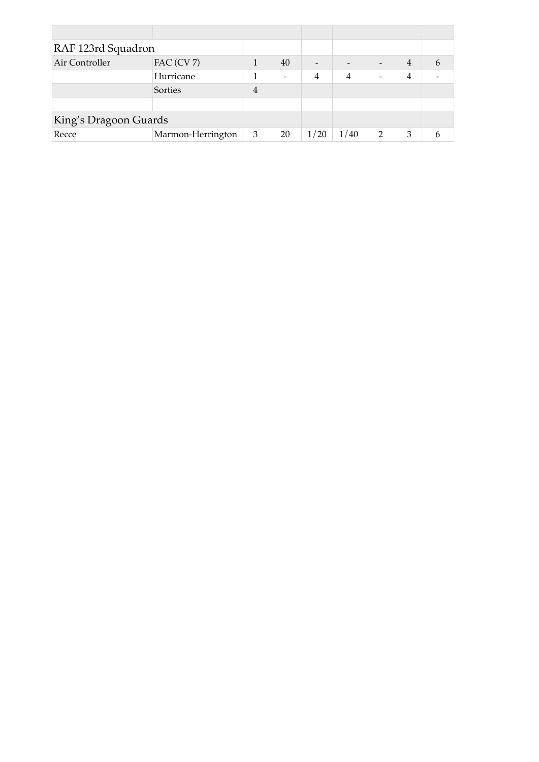| RAF 123rd Squadron    |                   |   |                          |                          |      |   |   |   |
|-----------------------|-------------------|---|--------------------------|--------------------------|------|---|---|---|
| Air Controller        | FAC (CV 7)        |   | 40                       | $\overline{\phantom{0}}$ |      |   | 4 | 6 |
|                       | Hurricane         |   | $\overline{\phantom{a}}$ | $\overline{4}$           | 4    |   | 4 |   |
|                       | Sorties           | 4 |                          |                          |      |   |   |   |
|                       |                   |   |                          |                          |      |   |   |   |
| King's Dragoon Guards |                   |   |                          |                          |      |   |   |   |
| Recce                 | Marmon-Herrington | 3 | 20                       | 1/20                     | 1/40 | 2 | 3 | h |